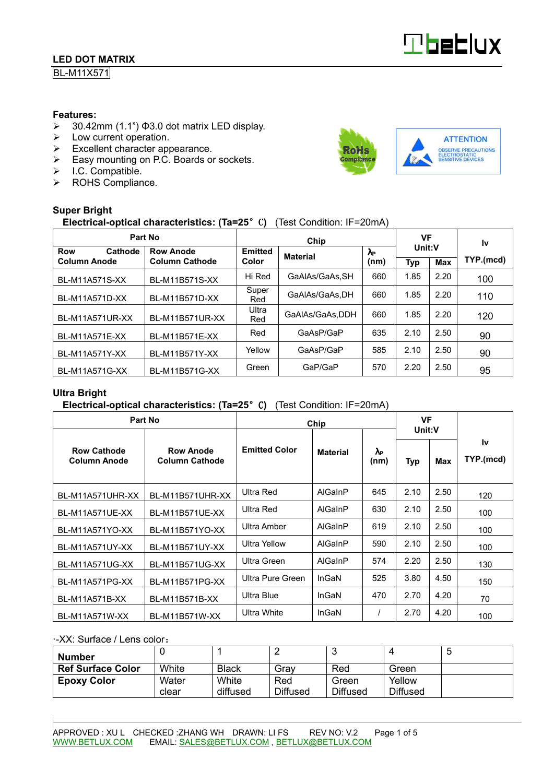BL-M11X571

#### **Features:**

- $\geq$  30.42mm (1.1") Φ3.0 dot matrix LED display.
- $\triangleright$  Low current operation.
- $\triangleright$  Excellent character appearance.
- Easy mounting on P.C. Boards or sockets.
- $>$  I.C. Compatible.
- > ROHS Compliance.

#### **Super Bright**

### **Electrical-optical characteristics: (Ta=25**°C**)** (Test Condition: IF=20mA)

| Part No               |                       |                | VF              |                      | l٧         |            |           |  |
|-----------------------|-----------------------|----------------|-----------------|----------------------|------------|------------|-----------|--|
| Cathode<br><b>Row</b> | <b>Row Anode</b>      | <b>Emitted</b> | <b>Material</b> | $\lambda_{\text{P}}$ | Unit:V     |            |           |  |
| <b>Column Anode</b>   | <b>Column Cathode</b> | Color          |                 | (nm)                 | <b>Typ</b> | <b>Max</b> | TYP.(mcd) |  |
| <b>BL-M11A571S-XX</b> | BL-M11B571S-XX        | Hi Red         | GaAlAs/GaAs.SH  | 660                  | 1.85       | 2.20       | 100       |  |
| BL-M11A571D-XX        | BL-M11B571D-XX        | Super<br>Red   | GaAlAs/GaAs.DH  | 660                  | 1.85       | 2.20       | 110       |  |
| BL-M11A571UR-XX       | BL-M11B571UR-XX       | Ultra<br>Red   | GaAIAs/GaAs.DDH | 660                  | 1.85       | 2.20       | 120       |  |
| BL-M11A571E-XX        | BL-M11B571E-XX        | Red            | GaAsP/GaP       | 635                  | 2.10       | 2.50       | 90        |  |
| BL-M11A571Y-XX        | BL-M11B571Y-XX        | Yellow         | GaAsP/GaP       | 585                  | 2.10       | 2.50       | 90        |  |
| BL-M11A571G-XX        | BL-M11B571G-XX        | Green          | GaP/GaP         | 570                  | 2.20       | 2.50       | 95        |  |

#### **Ultra Bright**

#### **Electrical-optical characteristics: (Ta=25**°C**)** (Test Condition: IF=20mA)

| Part No                                   |                                           | Chip                 | <b>VF</b><br>Unit:V |            |            |      |                        |
|-------------------------------------------|-------------------------------------------|----------------------|---------------------|------------|------------|------|------------------------|
| <b>Row Cathode</b><br><b>Column Anode</b> | <b>Row Anode</b><br><b>Column Cathode</b> | <b>Emitted Color</b> | <b>Material</b>     | እ⊳<br>(nm) | Max<br>Typ |      | <b>Iv</b><br>TYP.(mcd) |
| BL-M11A571UHR-XX                          | BL-M11B571UHR-XX                          | Ultra Red            | AlGaInP             | 645        | 2.10       | 2.50 | 120                    |
| BL-M11A571UE-XX                           | BL-M11B571UE-XX                           | Ultra Red            | AlGaInP             | 630        | 2.10       | 2.50 | 100                    |
| BL-M11A571YO-XX                           | BL-M11B571YO-XX                           | Ultra Amber          | AlGaInP             | 619        | 2.10       | 2.50 | 100                    |
| BL-M11A571UY-XX                           | BL-M11B571UY-XX                           | <b>Ultra Yellow</b>  | AlGaInP             | 590        | 2.10       | 2.50 | 100                    |
| BL-M11A571UG-XX                           | BL-M11B571UG-XX                           | Ultra Green          | AlGaInP             | 574        | 2.20       | 2.50 | 130                    |
| BL-M11A571PG-XX                           | BL-M11B571PG-XX                           | Ultra Pure Green     | InGaN               | 525        | 3.80       | 4.50 | 150                    |
| BL-M11A571B-XX                            | BL-M11B571B-XX                            | Ultra Blue           | InGaN               | 470        | 2.70       | 4.20 | 70                     |
| BL-M11A571W-XX                            | BL-M11B571W-XX                            | Ultra White          | InGaN               |            | 2.70       | 4.20 | 100                    |

#### -XX: Surface / Lens color:

| <b>Number</b>            |                |                   | -                      |                          |                           | C |
|--------------------------|----------------|-------------------|------------------------|--------------------------|---------------------------|---|
| <b>Ref Surface Color</b> | White          | <b>Black</b>      | Grav                   | Red                      | Green                     |   |
| <b>Epoxy Color</b>       | Water<br>clear | White<br>diffused | Red<br><b>Diffused</b> | Green<br><b>Diffused</b> | Yellow<br><b>Diffused</b> |   |



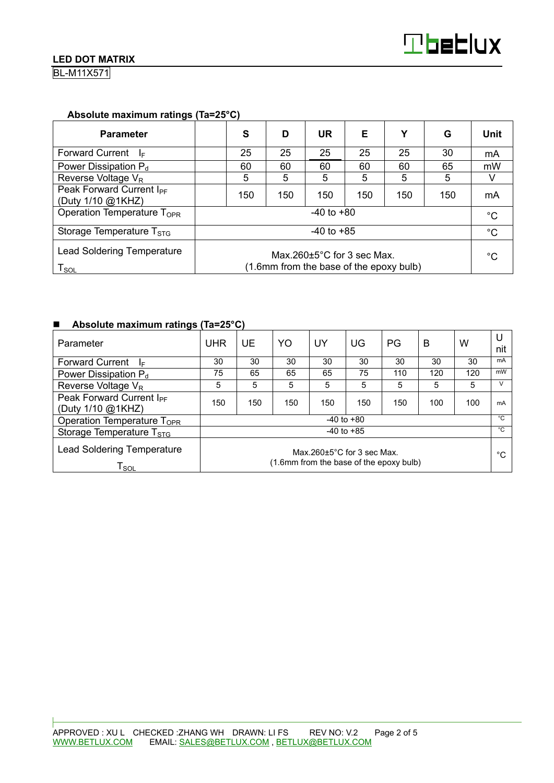BL-M11X571

#### **Absolute maximum ratings (Ta=25°C)**

| <b>Parameter</b>                                          |                                                                                        | S   | D   | UR  | Е   | Υ   | G   | <b>Unit</b> |
|-----------------------------------------------------------|----------------------------------------------------------------------------------------|-----|-----|-----|-----|-----|-----|-------------|
| <b>Forward Current</b><br>-le                             |                                                                                        | 25  | 25  | 25  | 25  | 25  | 30  | mA          |
| Power Dissipation $P_d$                                   |                                                                                        | 60  | 60  | 60  | 60  | 60  | 65  | mW          |
| Reverse Voltage $V_R$                                     |                                                                                        | 5   | 5   | 5   | 5   | 5   | 5   |             |
| Peak Forward Current I <sub>PF</sub><br>(Duty 1/10 @1KHZ) |                                                                                        | 150 | 150 | 150 | 150 | 150 | 150 | mA          |
| Operation Temperature T <sub>OPR</sub><br>$-40$ to $+80$  |                                                                                        |     |     |     |     | °C  |     |             |
| Storage Temperature $T_{STG}$                             | $-40$ to $+85$                                                                         |     |     |     |     |     |     | $^{\circ}C$ |
| <b>Lead Soldering Temperature</b><br>$T_{\texttt{SOL}}$   | Max.260 $\pm$ 5 $^{\circ}$ C for 3 sec Max.<br>(1.6mm from the base of the epoxy bulb) |     |     |     |     |     | °C  |             |

#### ■ Absolute maximum ratings (Ta=25°C)

| Parameter                                                        | UHR                                                                         | UE  | YO  | UY  | UG  | PG           | B   | w   | U<br>nit |
|------------------------------------------------------------------|-----------------------------------------------------------------------------|-----|-----|-----|-----|--------------|-----|-----|----------|
| <b>Forward Current</b><br>l⊧.                                    | 30                                                                          | 30  | 30  | 30  | 30  | 30           | 30  | 30  | mA       |
| Power Dissipation P <sub>d</sub>                                 | 75                                                                          | 65  | 65  | 65  | 75  | 110          | 120 | 120 | mW       |
| Reverse Voltage V <sub>R</sub>                                   | 5                                                                           | 5   | 5   | 5   | 5   | 5            | 5   | 5   | V        |
| Peak Forward Current I <sub>PF</sub><br>(Duty 1/10 @1KHZ)        | 150                                                                         | 150 | 150 | 150 | 150 | 150          | 100 | 100 | mA       |
| $-40$ to $+80$<br>Operation Temperature T <sub>OPR</sub>         |                                                                             |     |     |     |     | $^{\circ}$ C |     |     |          |
| Storage Temperature T <sub>STG</sub>                             | $-40$ to $+85$                                                              |     |     |     |     |              |     |     | °C       |
| <b>Lead Soldering Temperature</b><br>$\mathsf{T}_{\mathsf{SOL}}$ | Max.260 $\pm$ 5°C for 3 sec Max.<br>(1.6mm from the base of the epoxy bulb) |     |     |     |     |              |     | °С  |          |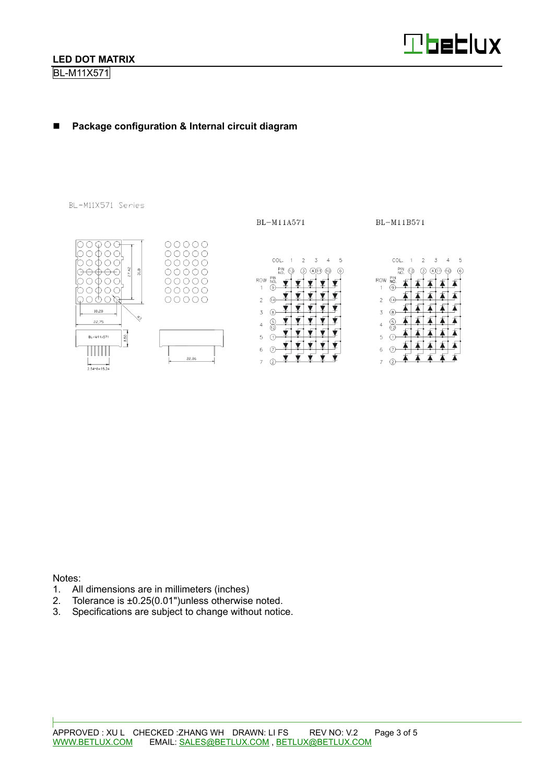BL-M11X571



≸

不 4

#### -**Package configuration & Internal circuit diagram**

BL-M11X571 Series

BL-M11A571

BL-M11B571



Notes:

- 1. All dimensions are in millimeters (inches)
- 2. Tolerance is ±0.25(0.01")unless otherwise noted.
- 3. Specifications are subject to change without notice.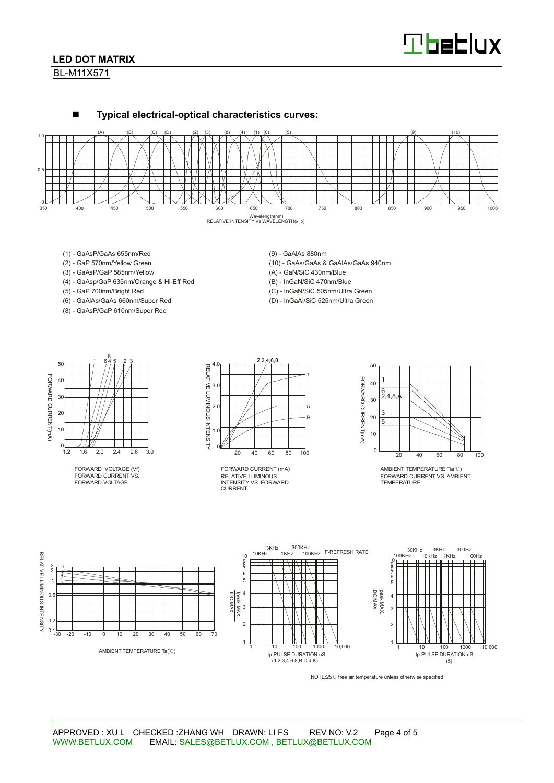# **Tbeblux**

#### **LED DOT MATRIX**

BL-M11X571



- (1) GaAsP/GaAs 655nm/Red
- (2) GaP 570nm/Yellow Green
- (3) GaAsP/GaP 585nm/Yellow
- (4) GaAsp/GaP 635nm/Orange & Hi-Eff Red
- (5) GaP 700nm/Bright Red
- (6) GaAlAs/GaAs 660nm/Super Red
- (8) GaAsP/GaP 610nm/Super Red

(9) - GaAlAs 880nm

(10) - GaAs/GaAs & GaAlAs/GaAs 940nm

(A) - GaN/SiC 430nm/Blue

(B) - InGaN/SiC 470nm/Blue

- (C) InGaN/SiC 505nm/Ultra Green
- (D) InGaAl/SiC 525nm/Ultra Green



FORWARD VOLTAGE (Vf) FORWARD CURRENT VS. FORWARD VOLTAGE



RELATIVE LUMINOUS INTENSITY VS. FORWARD CURRENT FORWARD CURRENT (mA)



AMBIENT TEMPERATURE Ta(°C) FORWARD CURRENT VS. AMBIENT TEMPERATURE



NOTE:25℃ free air temperature unless otherwise specified